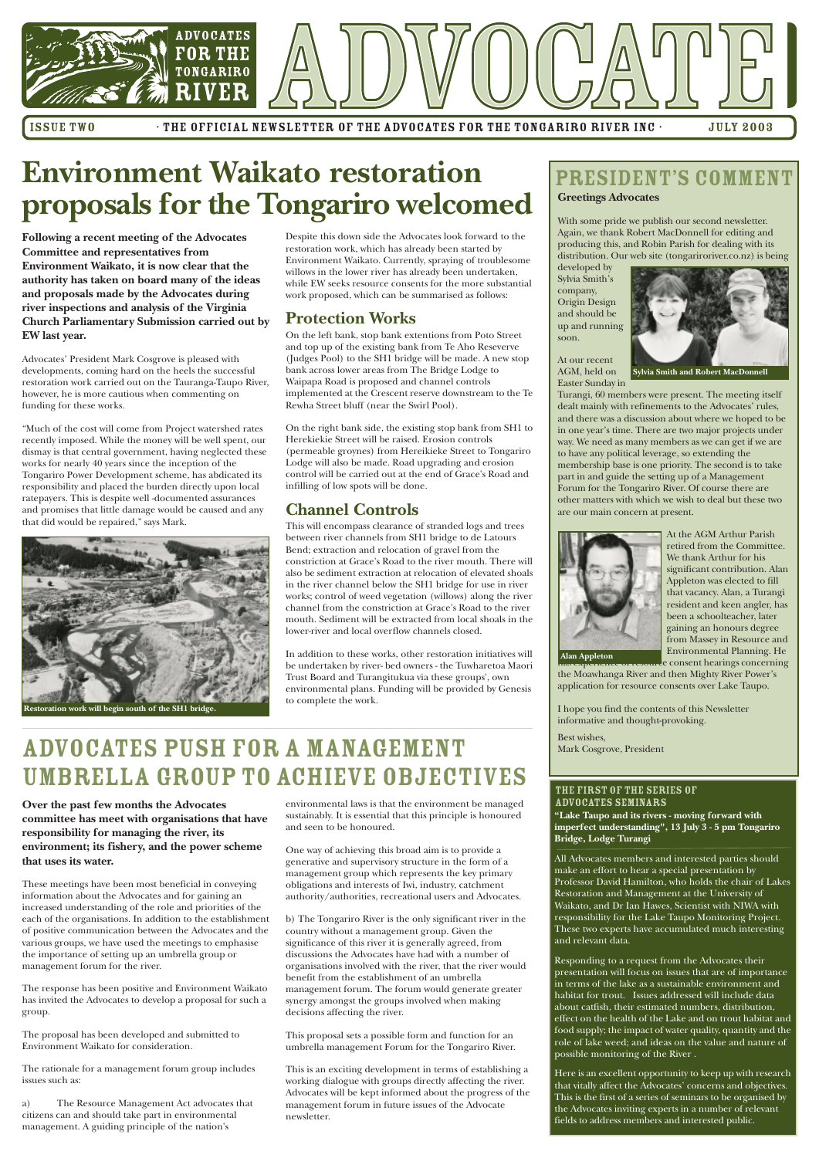

ISSUE TWO · THE OFFICIAL NEWSLETTER OF THE ADVOCATES FOR THE TONGARIRO RIVER INC · JULY 2003

#### **Greetings Advocates**

With some pride we publish our second newsletter. Again, we thank Robert MacDonnell for editing and producing this, and Robin Parish for dealing with its distribution. Our web site (tongariroriver.co.nz) is being

developed by Sylvia Smith's company, Origin Design and should be up and running soon.



At our recent AGM, held on Easter Sunday in

> At the AGM Arthur Parish retired from the Committee. We thank Arthur for his significant contribution. Alan Appleton was elected to fill that vacancy. Alan, a Turangi resident and keen angler, has been a schoolteacher, later gaining an honours degree from Massey in Resource and Environmental Planning. He e consent hearings concerning

Turangi, 60 members were present. The meeting itself dealt mainly with refinements to the Advocates' rules, and there was a discussion about where we hoped to be in one year's time. There are two major projects under way. We need as many members as we can get if we are to have any political leverage, so extending the membership base is one priority. The second is to take part in and guide the setting up of a Management Forum for the Tongariro River. Of course there are other matters with which we wish to deal but these two are our main concern at present.



the Moawhanga River and then Mighty River Power's application for resource consents over Lake Taupo.

I hope you find the contents of this Newsletter informative and thought-provoking.

Best wishes, Mark Cosgrove, President

**Following a recent meeting of the Advocates Committee and representatives from Environment Waikato, it is now clear that the authority has taken on board many of the ideas and proposals made by the Advocates during river inspections and analysis of the Virginia Church Parliamentary Submission carried out by EW last year.**

Advocates' President Mark Cosgrove is pleased with developments, coming hard on the heels the successful restoration work carried out on the Tauranga-Taupo River, however, he is more cautious when commenting on funding for these works.

"Much of the cost will come from Project watershed rates recently imposed. While the money will be well spent, our dismay is that central government, having neglected these works for nearly 40 years since the inception of the Tongariro Power Development scheme, has abdicated its responsibility and placed the burden directly upon local ratepayers. This is despite well -documented assurances and promises that little damage would be caused and any that did would be repaired," says Mark.

Despite this down side the Advocates look forward to the restoration work, which has already been started by Environment Waikato. Currently, spraying of troublesome willows in the lower river has already been undertaken, while EW seeks resource consents for the more substantial work proposed, which can be summarised as follows:

#### **Protection Works**

On the left bank, stop bank extentions from Poto Street and top up of the existing bank from Te Aho Reseverve (Judges Pool) to the SH1 bridge will be made. A new stop bank across lower areas from The Bridge Lodge to Waipapa Road is proposed and channel controls implemented at the Crescent reserve downstream to the Te Rewha Street bluff (near the Swirl Pool).

On the right bank side, the existing stop bank from SH1 to Herekiekie Street will be raised. Erosion controls (permeable groynes) from Hereikieke Street to Tongariro Lodge will also be made. Road upgrading and erosion control will be carried out at the end of Grace's Road and infilling of low spots will be done.

### **Channel Controls**

This will encompass clearance of stranded logs and trees between river channels from SH1 bridge to de Latours Bend; extraction and relocation of gravel from the constriction at Grace's Road to the river mouth. There will also be sediment extraction at relocation of elevated shoals in the river channel below the SH1 bridge for use in river works; control of weed vegetation (willows) along the river channel from the constriction at Grace's Road to the river mouth. Sediment will be extracted from local shoals in the lower-river and local overflow channels closed.

In addition to these works, other restoration initiatives will be undertaken by river- bed owners - the Tuwharetoa Maori Trust Board and Turangitukua via these groups', own environmental plans. Funding will be provided by Genesis to complete the work.

## **Environment Waikato restoration proposals for the Tongariro welcomed**

**"Lake Taupo and its rivers - moving forward with imperfect understanding", 13 July 3 - 5 pm Tongariro Bridge, Lodge Turangi**

All Advocates members and interested parties should make an effort to hear a special presentation by Professor David Hamilton, who holds the chair of Lakes Restoration and Management at the University of Waikato, and Dr Ian Hawes, Scientist with NIWA with responsibility for the Lake Taupo Monitoring Project. These two experts have accumulated much interesting and relevant data.

Responding to a request from the Advocates their presentation will focus on issues that are of importance in terms of the lake as a sustainable environment and habitat for trout. Issues addressed will include data about catfish, their estimated numbers, distribution, effect on the health of the Lake and on trout habitat and food supply; the impact of water quality, quantity and the role of lake weed; and ideas on the value and nature of possible monitoring of the River .

Here is an excellent opportunity to keep up with research that vitally affect the Advocates' concerns and objectives. This is the first of a series of seminars to be organised by the Advocates inviting experts in a number of relevant fields to address members and interested public.

#### The first of the Series of ADVOCATES SEMINARS

### PRESIDENT'S COMMENT

**Sylvia Smith and Robert MacDonnell**

**Over the past few months the Advocates committee has meet with organisations that have responsibility for managing the river, its environment; its fishery, and the power scheme that uses its water.**

These meetings have been most beneficial in conveying information about the Advocates and for gaining an increased understanding of the role and priorities of the each of the organisations. In addition to the establishment of positive communication between the Advocates and the various groups, we have used the meetings to emphasise the importance of setting up an umbrella group or management forum for the river.

The response has been positive and Environment Waikato has invited the Advocates to develop a proposal for such a group.

The proposal has been developed and submitted to Environment Waikato for consideration.

The rationale for a management forum group includes issues such as:

a) The Resource Management Act advocates that citizens can and should take part in environmental management. A guiding principle of the nation's

environmental laws is that the environment be managed sustainably. It is essential that this principle is honoured and seen to be honoured.

One way of achieving this broad aim is to provide a generative and supervisory structure in the form of a anagement group which represents the key primary obligations and interests of Iwi, industry, catchment authority/authorities, recreational users and Advocates.

b) The Tongariro River is the only significant river in the country without a management group. Given the significance of this river it is generally agreed, from discussions the Advocates have had with a number of organisations involved with the river, that the river would benefit from the establishment of an umbrella management forum. The forum would generate greater synergy amongst the groups involved when making decisions affecting the river.

This proposal sets a possible form and function for an umbrella management Forum for the Tongariro River.

This is an exciting development in terms of establishing a working dialogue with groups directly affecting the river. Advocates will be kept informed about the progress of the management forum in future issues of the Advocate newsletter.

## ADVOCATES PUSH FOR A MANAGEMENT UMBRELLA GROUP TO ACHIEVE OBJECTIVES



**Restoration work will begin south of the SH1 bridge.**

**Alan Appleton**